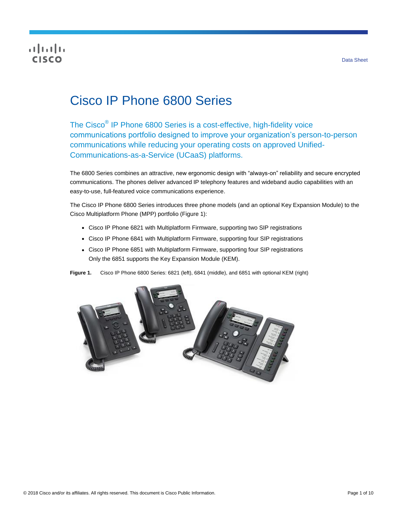## **CISCO**

# Cisco IP Phone 6800 Series

The Cisco<sup>®</sup> IP Phone 6800 Series is a cost-effective, high-fidelity voice communications portfolio designed to improve your organization's person-to-person communications while reducing your operating costs on approved Unified-Communications-as-a-Service (UCaaS) platforms.

The 6800 Series combines an attractive, new ergonomic design with "always-on" reliability and secure encrypted communications. The phones deliver advanced IP telephony features and wideband audio capabilities with an easy-to-use, full-featured voice communications experience.

The Cisco IP Phone 6800 Series introduces three phone models (and an optional Key Expansion Module) to the Cisco Multiplatform Phone (MPP) portfolio (Figure 1):

- Cisco IP Phone 6821 with Multiplatform Firmware, supporting two SIP registrations
- Cisco IP Phone 6841 with Multiplatform Firmware, supporting four SIP registrations
- Cisco IP Phone 6851 with Multiplatform Firmware, supporting four SIP registrations Only the 6851 supports the Key Expansion Module (KEM).

**Figure 1.** Cisco IP Phone 6800 Series: 6821 (left), 6841 (middle), and 6851 with optional KEM (right)

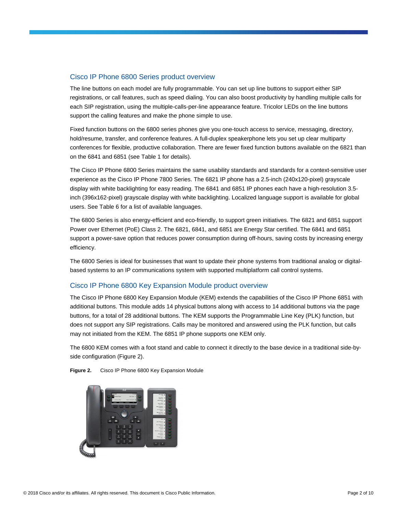#### Cisco IP Phone 6800 Series product overview

The line buttons on each model are fully programmable. You can set up line buttons to support either SIP registrations, or call features, such as speed dialing. You can also boost productivity by handling multiple calls for each SIP registration, using the multiple-calls-per-line appearance feature. Tricolor LEDs on the line buttons support the calling features and make the phone simple to use.

Fixed function buttons on the 6800 series phones give you one-touch access to service, messaging, directory, hold/resume, transfer, and conference features. A full-duplex speakerphone lets you set up clear multiparty conferences for flexible, productive collaboration. There are fewer fixed function buttons available on the 6821 than on the 6841 and 6851 (see Table 1 for details).

The Cisco IP Phone 6800 Series maintains the same usability standards and standards for a context-sensitive user experience as the Cisco IP Phone 7800 Series. The 6821 IP phone has a 2.5-inch (240x120-pixel) grayscale display with white backlighting for easy reading. The 6841 and 6851 IP phones each have a high-resolution 3.5 inch (396x162-pixel) grayscale display with white backlighting. Localized language support is available for global users. See Table 6 for a list of available languages.

The 6800 Series is also energy-efficient and eco-friendly, to support green initiatives. The 6821 and 6851 support Power over Ethernet (PoE) Class 2. The 6821, 6841, and 6851 are Energy Star certified. The 6841 and 6851 support a power-save option that reduces power consumption during off-hours, saving costs by increasing energy efficiency.

The 6800 Series is ideal for businesses that want to update their phone systems from traditional analog or digitalbased systems to an IP communications system with supported multiplatform call control systems.

## Cisco IP Phone 6800 Key Expansion Module product overview

The Cisco IP Phone 6800 Key Expansion Module (KEM) extends the capabilities of the Cisco IP Phone 6851 with additional buttons. This module adds 14 physical buttons along with access to 14 additional buttons via the page buttons, for a total of 28 additional buttons. The KEM supports the Programmable Line Key (PLK) function, but does not support any SIP registrations. Calls may be monitored and answered using the PLK function, but calls may not initiated from the KEM. The 6851 IP phone supports one KEM only.

The 6800 KEM comes with a foot stand and cable to connect it directly to the base device in a traditional side-byside configuration (Figure 2).



**Figure 2.** Cisco IP Phone 6800 Key Expansion Module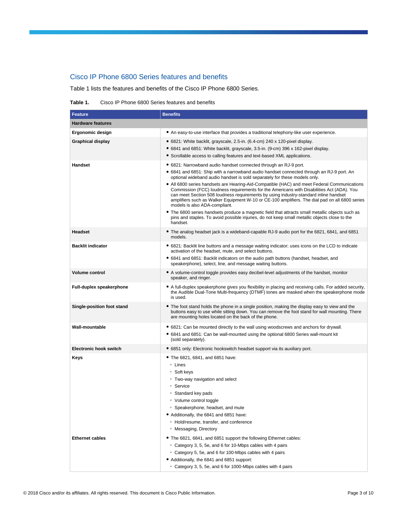### Cisco IP Phone 6800 Series features and benefits

Table 1 lists the features and benefits of the Cisco IP Phone 6800 Series.

**Table 1.** Cisco IP Phone 6800 Series features and benefits

| <b>Feature</b>                  | <b>Benefits</b>                                                                                                                                                                                                                                                                                                                                                                                                                                                                                                                                                                                                                                                                                                                                                                                                                                                                   |
|---------------------------------|-----------------------------------------------------------------------------------------------------------------------------------------------------------------------------------------------------------------------------------------------------------------------------------------------------------------------------------------------------------------------------------------------------------------------------------------------------------------------------------------------------------------------------------------------------------------------------------------------------------------------------------------------------------------------------------------------------------------------------------------------------------------------------------------------------------------------------------------------------------------------------------|
| <b>Hardware features</b>        |                                                                                                                                                                                                                                                                                                                                                                                                                                                                                                                                                                                                                                                                                                                                                                                                                                                                                   |
| Ergonomic design                | • An easy-to-use interface that provides a traditional telephony-like user experience.                                                                                                                                                                                                                                                                                                                                                                                                                                                                                                                                                                                                                                                                                                                                                                                            |
| <b>Graphical display</b>        | • 6821: White backlit, grayscale, 2.5-in. (6.4-cm) 240 x 120-pixel display.<br>• 6841 and 6851: White backlit, grayscale, 3.5-in. (9-cm) 396 x 162-pixel display.<br>• Scrollable access to calling features and text-based XML applications.                                                                                                                                                                                                                                                                                                                                                                                                                                                                                                                                                                                                                                     |
| <b>Handset</b>                  | • 6821: Narrowband audio handset connected through an RJ-9 port.<br>• 6841 and 6851: Ship with a narrowband audio handset connected through an RJ-9 port. An<br>optional wideband audio handset is sold separately for these models only.<br>• All 6800 series handsets are Hearing-Aid-Compatible (HAC) and meet Federal Communications<br>Commission (FCC) loudness requirements for the Americans with Disabilities Act (ADA). You<br>can meet Section 508 loudness requirements by using industry-standard inline handset<br>amplifiers such as Walker Equipment W-10 or CE-100 amplifiers. The dial pad on all 6800 series<br>models is also ADA-compliant.<br>• The 6800 series handsets produce a magnetic field that attracts small metallic objects such as<br>pins and staples. To avoid possible injuries, do not keep small metallic objects close to the<br>handset. |
| <b>Headset</b>                  | • The analog headset jack is a wideband-capable RJ-9 audio port for the 6821, 6841, and 6851<br>models.                                                                                                                                                                                                                                                                                                                                                                                                                                                                                                                                                                                                                                                                                                                                                                           |
| <b>Backlit indicator</b>        | • 6821: Backlit line buttons and a message waiting indicator; uses icons on the LCD to indicate<br>activation of the headset, mute, and select buttons.<br>• 6841 and 6851: Backlit indicators on the audio path buttons (handset, headset, and<br>speakerphone), select, line, and message waiting buttons.                                                                                                                                                                                                                                                                                                                                                                                                                                                                                                                                                                      |
| <b>Volume control</b>           | • A volume-control toggle provides easy decibel-level adjustments of the handset, monitor<br>speaker, and ringer.                                                                                                                                                                                                                                                                                                                                                                                                                                                                                                                                                                                                                                                                                                                                                                 |
| <b>Full-duplex speakerphone</b> | • A full-duplex speakerphone gives you flexibility in placing and receiving calls. For added security,<br>the Audible Dual-Tone Multi-frequency (DTMF) tones are masked when the speakerphone mode<br>is used.                                                                                                                                                                                                                                                                                                                                                                                                                                                                                                                                                                                                                                                                    |
| Single-position foot stand      | • The foot stand holds the phone in a single position, making the display easy to view and the<br>buttons easy to use while sitting down. You can remove the foot stand for wall mounting. There<br>are mounting holes located on the back of the phone.                                                                                                                                                                                                                                                                                                                                                                                                                                                                                                                                                                                                                          |
| <b>Wall-mountable</b>           | • 6821: Can be mounted directly to the wall using woodscrews and anchors for drywall.<br>• 6841 and 6851: Can be wall-mounted using the optional 6800 Series wall-mount kit<br>(sold separately).                                                                                                                                                                                                                                                                                                                                                                                                                                                                                                                                                                                                                                                                                 |
| <b>Electronic hook switch</b>   | • 6851 only: Electronic hookswitch headset support via its auxiliary port.                                                                                                                                                                                                                                                                                                                                                                                                                                                                                                                                                                                                                                                                                                                                                                                                        |
| Keys                            | • The 6821, 6841, and 6851 have:<br>∘ Lines<br>∘ Soft keys<br>• Two-way navigation and select<br>○ Service<br>◦ Standard key pads<br>• Volume control toggle<br>○ Speakerphone, headset, and mute<br>• Additionally, the 6841 and 6851 have:<br>• Hold/resume, transfer, and conference<br>○ Messaging, Directory                                                                                                                                                                                                                                                                                                                                                                                                                                                                                                                                                                 |
| <b>Ethernet cables</b>          | • The 6821, 6841, and 6851 support the following Ethernet cables:<br>○ Category 3, 5, 5e, and 6 for 10-Mbps cables with 4 pairs<br><sup>o</sup> Category 5, 5e, and 6 for 100-Mbps cables with 4 pairs<br>• Additionally, the 6841 and 6851 support:<br>○ Category 3, 5, 5e, and 6 for 1000-Mbps cables with 4 pairs                                                                                                                                                                                                                                                                                                                                                                                                                                                                                                                                                              |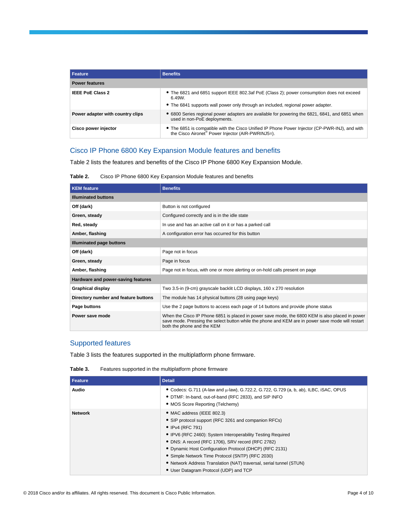| Feature                          | <b>Benefits</b>                                                                                                                                                                         |
|----------------------------------|-----------------------------------------------------------------------------------------------------------------------------------------------------------------------------------------|
| <b>Power features</b>            |                                                                                                                                                                                         |
| <b>IEEE PoE Class 2</b>          | • The 6821 and 6851 support IEEE 802.3af PoE (Class 2); power consumption does not exceed<br>6.49W.<br>• The 6841 supports wall power only through an included, regional power adapter. |
| Power adapter with country clips | • 6800 Series regional power adapters are available for powering the 6821, 6841, and 6851 when<br>used in non-PoE deployments.                                                          |
| Cisco power injector             | • The 6851 is compatible with the Cisco Unified IP Phone Power Injector (CP-PWR-INJ), and with<br>the Cisco Aironet <sup>®</sup> Power Injector (AIR-PWRINJ5=).                         |

## Cisco IP Phone 6800 Key Expansion Module features and benefits

Table 2 lists the features and benefits of the Cisco IP Phone 6800 Key Expansion Module.

| Table 2. |  | Cisco IP Phone 6800 Key Expansion Module features and benefits |
|----------|--|----------------------------------------------------------------|
|----------|--|----------------------------------------------------------------|

| <b>KEM</b> feature                   | <b>Benefits</b>                                                                                                                                                                                                                    |  |
|--------------------------------------|------------------------------------------------------------------------------------------------------------------------------------------------------------------------------------------------------------------------------------|--|
| <b>Illuminated buttons</b>           |                                                                                                                                                                                                                                    |  |
| Off (dark)                           | Button is not configured                                                                                                                                                                                                           |  |
| Green, steady                        | Configured correctly and is in the idle state                                                                                                                                                                                      |  |
| Red, steady                          | In use and has an active call on it or has a parked call                                                                                                                                                                           |  |
| Amber, flashing                      | A configuration error has occurred for this button                                                                                                                                                                                 |  |
| <b>Illuminated page buttons</b>      |                                                                                                                                                                                                                                    |  |
| Off (dark)                           | Page not in focus                                                                                                                                                                                                                  |  |
| Green, steady                        | Page in focus                                                                                                                                                                                                                      |  |
| Amber, flashing                      | Page not in focus, with one or more alerting or on-hold calls present on page                                                                                                                                                      |  |
| Hardware and power-saving features   |                                                                                                                                                                                                                                    |  |
| <b>Graphical display</b>             | Two 3.5-in (9-cm) grayscale backlit LCD displays, 160 x 270 resolution                                                                                                                                                             |  |
| Directory number and feature buttons | The module has 14 physical buttons (28 using page keys)                                                                                                                                                                            |  |
| Page buttons                         | Use the 2 page buttons to access each page of 14 buttons and provide phone status                                                                                                                                                  |  |
| Power save mode                      | When the Cisco IP Phone 6851 is placed in power save mode, the 6800 KEM is also placed in power<br>save mode. Pressing the select button while the phone and KEM are in power save mode will restart<br>both the phone and the KEM |  |

#### Supported features

Table 3 lists the features supported in the multiplatform phone firmware.

**Table 3.** Features supported in the multiplatform phone firmware

| Feature        | <b>Detail</b>                                                                                                                                                                                                                                                                                                                                                                                                                                              |
|----------------|------------------------------------------------------------------------------------------------------------------------------------------------------------------------------------------------------------------------------------------------------------------------------------------------------------------------------------------------------------------------------------------------------------------------------------------------------------|
| Audio          | • Codecs: G.711 (A-law and $\mu$ -law), G.722.2, G.722, G.729 (a, b, ab), ILBC, iSAC, OPUS<br>• DTMF: In-band, out-of-band (RFC 2833), and SIP INFO<br>• MOS Score Reporting (Telchemy)                                                                                                                                                                                                                                                                    |
| <b>Network</b> | • MAC address (IEEE 802.3)<br>• SIP protocol support (RFC 3261 and companion RFCs)<br>• IPv4 (RFC 791)<br>• IPV6 (RFC 2460): System Interoperability Testing Required<br>• DNS: A record (RFC 1706), SRV record (RFC 2782)<br>• Dynamic Host Configuration Protocol (DHCP) (RFC 2131)<br>• Simple Network Time Protocol (SNTP) (RFC 2030)<br>• Network Address Translation (NAT) traversal, serial tunnel (STUN)<br>• User Datagram Protocol (UDP) and TCP |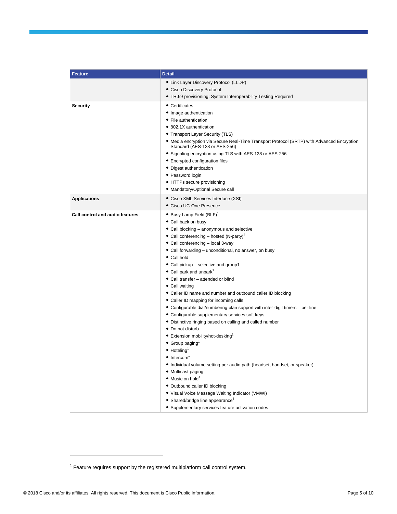| <b>Feature</b>                  | <b>Detail</b>                                                                                                               |
|---------------------------------|-----------------------------------------------------------------------------------------------------------------------------|
|                                 | • Link Layer Discovery Protocol (LLDP)                                                                                      |
|                                 | • Cisco Discovery Protocol                                                                                                  |
|                                 | • TR.69 provisioning: System Interoperability Testing Required                                                              |
| <b>Security</b>                 | • Certificates                                                                                                              |
|                                 | • Image authentication                                                                                                      |
|                                 | • File authentication                                                                                                       |
|                                 | • 802.1X authentication                                                                                                     |
|                                 | • Transport Layer Security (TLS)                                                                                            |
|                                 | • Media encryption via Secure Real-Time Transport Protocol (SRTP) with Advanced Encryption<br>Standard (AES-128 or AES-256) |
|                                 | • Signaling encryption using TLS with AES-128 or AES-256                                                                    |
|                                 | • Encrypted configuration files                                                                                             |
|                                 | • Digest authentication                                                                                                     |
|                                 | • Password login                                                                                                            |
|                                 | • HTTPs secure provisioning                                                                                                 |
|                                 | • Mandatory/Optional Secure call                                                                                            |
| <b>Applications</b>             | • Cisco XML Services Interface (XSI)                                                                                        |
|                                 | • Cisco UC-One Presence                                                                                                     |
| Call control and audio features | $\bullet$ Busy Lamp Field (BLF) <sup>1</sup>                                                                                |
|                                 | • Call back on busy                                                                                                         |
|                                 | • Call blocking - anonymous and selective                                                                                   |
|                                 | • Call conferencing $-$ hosted (N-party) <sup>1</sup>                                                                       |
|                                 | • Call conferencing - local 3-way                                                                                           |
|                                 | • Call forwarding – unconditional, no answer, on busy                                                                       |
|                                 | • Call hold                                                                                                                 |
|                                 | • Call pickup - selective and group1                                                                                        |
|                                 | $\bullet$ Call park and unpark <sup>1</sup>                                                                                 |
|                                 | • Call transfer – attended or blind                                                                                         |
|                                 | • Call waiting                                                                                                              |
|                                 | • Caller ID name and number and outbound caller ID blocking                                                                 |
|                                 | • Caller ID mapping for incoming calls                                                                                      |
|                                 | • Configurable dial/numbering plan support with inter-digit timers – per line                                               |
|                                 | • Configurable supplementary services soft keys                                                                             |
|                                 | • Distinctive ringing based on calling and called number                                                                    |
|                                 | • Do not disturb                                                                                                            |
|                                 | • Extension mobility/hot-desking <sup>1</sup>                                                                               |
|                                 | $\bullet$ Group paging                                                                                                      |
|                                 | $\bullet$ Hoteling <sup>1</sup>                                                                                             |
|                                 | $\bullet$ Intercom <sup>1</sup>                                                                                             |
|                                 | • Individual volume setting per audio path (headset, handset, or speaker)                                                   |
|                                 | • Multicast paging                                                                                                          |
|                                 | • Music on hold <sup>1</sup>                                                                                                |
|                                 | • Outbound caller ID blocking                                                                                               |
|                                 | • Visual Voice Message Waiting Indicator (VMWI)                                                                             |
|                                 | • Shared/bridge line appearance <sup>1</sup>                                                                                |
|                                 | • Supplementary services feature activation codes                                                                           |

 $\overline{\phantom{a}}$ 

 $1$  Feature requires support by the registered multiplatform call control system.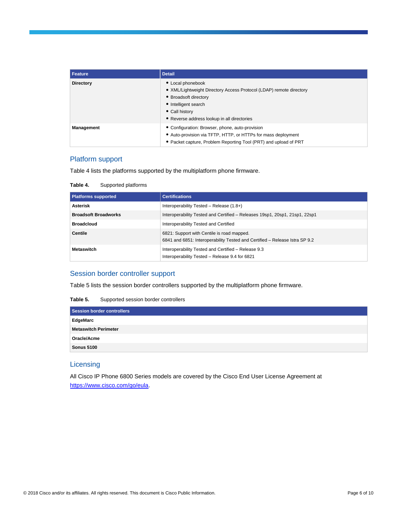| Feature          | <b>Detail</b>                                                                                                                                                                                              |
|------------------|------------------------------------------------------------------------------------------------------------------------------------------------------------------------------------------------------------|
| <b>Directory</b> | • Local phonebook<br>• XML/Lightweight Directory Access Protocol (LDAP) remote directory<br>• Broadsoft directory<br>• Intelligent search<br>• Call history<br>• Reverse address lookup in all directories |
| Management       | • Configuration: Browser, phone, auto-provision<br>• Auto-provision via TFTP, HTTP, or HTTPs for mass deployment<br>• Packet capture, Problem Reporting Tool (PRT) and upload of PRT                       |

#### Platform support

Table 4 lists the platforms supported by the multiplatform phone firmware.

**Table 4.** Supported platforms

| <b>Platforms supported</b>  | <b>Certifications</b>                                                                                                     |
|-----------------------------|---------------------------------------------------------------------------------------------------------------------------|
| <b>Asterisk</b>             | Interoperability Tested - Release (1.8+)                                                                                  |
| <b>Broadsoft Broadworks</b> | Interoperability Tested and Certified – Releases 19sp1, 20sp1, 21sp1, 22sp1                                               |
| <b>Broadcloud</b>           | Interoperability Tested and Certified                                                                                     |
| <b>Centile</b>              | 6821: Support with Centile is road mapped.<br>6841 and 6851: Interoperability Tested and Certified – Release Istra SP 9.2 |
| <b>Metaswitch</b>           | Interoperability Tested and Certified - Release 9.3<br>Interoperability Tested - Release 9.4 for 6821                     |

#### Session border controller support

Table 5 lists the session border controllers supported by the multiplatform phone firmware.

**Table 5.** Supported session border controllers

| Session border controllers  |  |
|-----------------------------|--|
| EdgeMarc                    |  |
| <b>Metaswitch Perimeter</b> |  |
| Oracle/Acme                 |  |
| <b>Sonus 5100</b>           |  |

#### **Licensing**

All Cisco IP Phone 6800 Series models are covered by the Cisco End User License Agreement at [https://www.cisco.com/go/eula.](https://www.cisco.com/go/eula)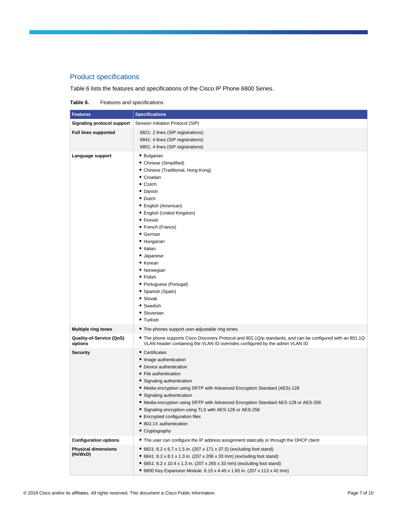## Product specifications

Table 6 lists the features and specifications of the Cisco IP Phone 6800 Series.

**Table 6.** Features and specifications

| <b>Features</b>                       | <b>Specifications</b>                                                                                                                                                                                                                                                                                                                                                                                                                                                   |
|---------------------------------------|-------------------------------------------------------------------------------------------------------------------------------------------------------------------------------------------------------------------------------------------------------------------------------------------------------------------------------------------------------------------------------------------------------------------------------------------------------------------------|
| <b>Signaling protocol support</b>     | Session Initiation Protocol (SIP)                                                                                                                                                                                                                                                                                                                                                                                                                                       |
| <b>Full lines supported</b>           | 6821: 2 lines (SIP registrations)<br>6841: 4 lines (SIP registrations)<br>6851: 4 lines (SIP registrations)                                                                                                                                                                                                                                                                                                                                                             |
| Language support                      | • Bulgarian<br>• Chinese (Simplified)<br>• Chinese (Traditional, Hong Kong)<br>• Croatian<br>$\bullet$ Czech<br>• Danish<br>• Dutch<br>• English (American)<br>• English (United Kingdom)<br>• Finnish<br>• French (France)<br>• German<br>• Hungarian<br>• Italian<br>• Japanese<br>• Korean<br>• Norwegian<br>• Polish<br>• Portuguese (Portugal)<br>• Spanish (Spain)<br>• Slovak<br>• Swedish<br>• Slovenian<br>• Turkish                                           |
| <b>Multiple ring tones</b>            | • The phones support user-adjustable ring tones                                                                                                                                                                                                                                                                                                                                                                                                                         |
| Quality-of-Service (QoS)<br>options   | The phone supports Cisco Discovery Protocol and 802.1Q/p standards, and can be configured with an 801.1Q<br>VLAN header containing the VLAN ID overrides configured by the admin VLAN ID                                                                                                                                                                                                                                                                                |
| <b>Security</b>                       | • Certificates<br>• Image authentication<br>• Device authentication<br>• File authentication<br>• Signaling authentication<br>• Media encryption using SRTP with Advanced Encryption Standard (AES)-128<br>• Signaling authentication<br>• Media encryption using SRTP with Advanced Encryption Standard AES-128 or AES-256<br>• Signaling encryption using TLS with AES-128 or AES-256<br>• Encrypted configuration files<br>• 802.1X authentication<br>• Cryptography |
| <b>Configuration options</b>          | • The user can configure the IP address assignment statically or through the DHCP client                                                                                                                                                                                                                                                                                                                                                                                |
| <b>Physical dimensions</b><br>(HxWxD) | • 6821: 8.2 x 6.7 x 1.5 in. (207 x 171 x 37.5) (excluding foot stand)<br>• 6841: 8.2 x 8.1 x 1.3 in. (207 x 206 x 33 mm) (excluding foot stand)<br>• 6851: 8.2 x 10.4 x 1.3 in. (207 x 265 x 33 mm) (excluding foot stand)<br>• 6800 Key Expansion Module: 8.15 x 4.45 x 1.65 in. (207 x 113 x 42 mm)                                                                                                                                                                   |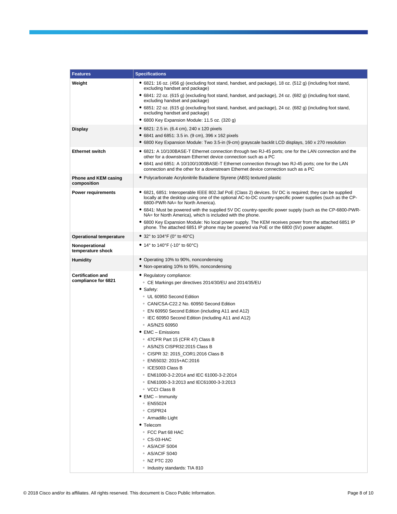| <b>Features</b>                                 | <b>Specifications</b>                                                                                                                                                                                                                                                                                                                                                                                                                                                                                                                                                                                                                                                                                                                                                                                           |
|-------------------------------------------------|-----------------------------------------------------------------------------------------------------------------------------------------------------------------------------------------------------------------------------------------------------------------------------------------------------------------------------------------------------------------------------------------------------------------------------------------------------------------------------------------------------------------------------------------------------------------------------------------------------------------------------------------------------------------------------------------------------------------------------------------------------------------------------------------------------------------|
| Weight                                          | • 6821: 16 oz. (456 g) (excluding foot stand, handset, and package), 18 oz. (512 g) (including foot stand,                                                                                                                                                                                                                                                                                                                                                                                                                                                                                                                                                                                                                                                                                                      |
|                                                 | excluding handset and package)<br>• 6841: 22 oz. (615 g) (excluding foot stand, handset, and package), 24 oz. (682 g) (including foot stand,<br>excluding handset and package)                                                                                                                                                                                                                                                                                                                                                                                                                                                                                                                                                                                                                                  |
|                                                 | • 6851: 22 oz. (615 g) (excluding foot stand, handset, and package), 24 oz. (682 g) (including foot stand,<br>excluding handset and package)                                                                                                                                                                                                                                                                                                                                                                                                                                                                                                                                                                                                                                                                    |
|                                                 | • 6800 Key Expansion Module: 11.5 oz. (320 g)                                                                                                                                                                                                                                                                                                                                                                                                                                                                                                                                                                                                                                                                                                                                                                   |
| <b>Display</b>                                  | • 6821: 2.5 in. (6.4 cm), 240 x 120 pixels                                                                                                                                                                                                                                                                                                                                                                                                                                                                                                                                                                                                                                                                                                                                                                      |
|                                                 | • 6841 and 6851: 3.5 in. (9 cm), 396 x 162 pixels                                                                                                                                                                                                                                                                                                                                                                                                                                                                                                                                                                                                                                                                                                                                                               |
|                                                 | • 6800 Key Expansion Module: Two 3.5-in (9-cm) grayscale backlit LCD displays, 160 x 270 resolution                                                                                                                                                                                                                                                                                                                                                                                                                                                                                                                                                                                                                                                                                                             |
| <b>Ethernet switch</b>                          | • 6821: A 10/100BASE-T Ethernet connection through two RJ-45 ports; one for the LAN connection and the<br>other for a downstream Ethernet device connection such as a PC                                                                                                                                                                                                                                                                                                                                                                                                                                                                                                                                                                                                                                        |
|                                                 | • 6841 and 6851: A 10/100/1000BASE-T Ethernet connection through two RJ-45 ports; one for the LAN<br>connection and the other for a downstream Ethernet device connection such as a PC                                                                                                                                                                                                                                                                                                                                                                                                                                                                                                                                                                                                                          |
| Phone and KEM casing<br>composition             | • Polycarbonate Acrylonitrile Butadiene Styrene (ABS) textured plastic                                                                                                                                                                                                                                                                                                                                                                                                                                                                                                                                                                                                                                                                                                                                          |
| <b>Power requirements</b>                       | • 6821, 6851: Interoperable IEEE 802.3af PoE (Class 2) devices. 5V DC is required; they can be supplied<br>locally at the desktop using one of the optional AC-to-DC country-specific power supplies (such as the CP-<br>6800-PWR-NA= for North America).                                                                                                                                                                                                                                                                                                                                                                                                                                                                                                                                                       |
|                                                 | • 6841: Must be powered with the supplied 5V DC country-specific power supply (such as the CP-6800-PWR-<br>NA= for North America), which is included with the phone.                                                                                                                                                                                                                                                                                                                                                                                                                                                                                                                                                                                                                                            |
|                                                 | • 6800 Key Expansion Module: No local power supply. The KEM receives power from the attached 6851 IP<br>phone. The attached 6851 IP phone may be powered via PoE or the 6800 (5V) power adapter.                                                                                                                                                                                                                                                                                                                                                                                                                                                                                                                                                                                                                |
| <b>Operational temperature</b>                  | • 32° to 104°F (0° to 40°C)                                                                                                                                                                                                                                                                                                                                                                                                                                                                                                                                                                                                                                                                                                                                                                                     |
| Nonoperational<br>temperature shock             | • 14° to 140°F (-10° to 60°C)                                                                                                                                                                                                                                                                                                                                                                                                                                                                                                                                                                                                                                                                                                                                                                                   |
| <b>Humidity</b>                                 | • Operating 10% to 90%, noncondensing<br>• Non-operating 10% to 95%, noncondensing                                                                                                                                                                                                                                                                                                                                                                                                                                                                                                                                                                                                                                                                                                                              |
| <b>Certification and</b><br>compliance for 6821 | • Regulatory compliance:<br>○ CE Markings per directives 2014/30/EU and 2014/35/EU<br>• Safety:<br>• UL 60950 Second Edition<br>© CAN/CSA-C22.2 No. 60950 Second Edition<br>○ EN 60950 Second Edition (including A11 and A12)<br>○ IEC 60950 Second Edition (including A11 and A12)<br>○ AS/NZS 60950<br>• EMC - Emissions<br>○ 47CFR Part 15 (CFR 47) Class B<br>○ AS/NZS CISPR32:2015 Class B<br>CISPR 32: 2015 COR1:2016 Class B<br>∘ EN55032: 2015+AC:2016<br>∘ ICES003 Class B<br>© EN61000-3-2:2014 and IEC 61000-3-2:2014<br>• EN61000-3-3:2013 and IEC61000-3-3:2013<br>• VCCI Class B<br>$\bullet$ EMC – Immunity<br>∘ EN55024<br>∘ CISPR24<br>∘ Armadillo Light<br>• Telecom<br>∘ FCC Part 68 HAC<br>© CS-03-HAC<br>◦ AS/ACIF S004<br>○ AS/ACIF S040<br>∘ NZ PTC 220<br>∘ Industry standards: TIA 810 |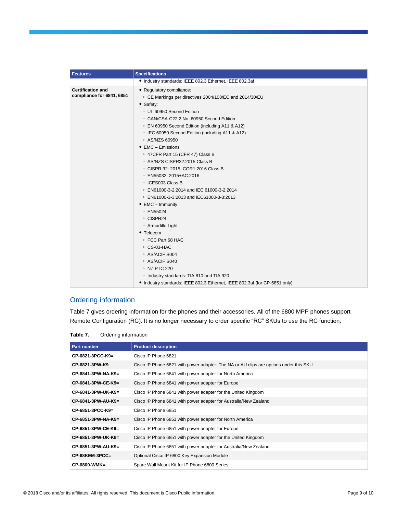| <b>Features</b>           | <b>Specifications</b>                                                      |
|---------------------------|----------------------------------------------------------------------------|
|                           | • Industry standards: IEEE 802.3 Ethernet, IEEE 802.3af                    |
| <b>Certification and</b>  | • Regulatory compliance:                                                   |
| compliance for 6841, 6851 | ○ CE Markings per directives 2004/108/EC and 2014/30/EU                    |
|                           | • Safety:                                                                  |
|                           | ○ UL 60950 Second Edition                                                  |
|                           | ○ CAN/CSA-C22.2 No. 60950 Second Edition                                   |
|                           | ○ EN 60950 Second Edition (including A11 & A12)                            |
|                           | ○ IEC 60950 Second Edition (including A11 & A12)                           |
|                           | ○ AS/NZS 60950                                                             |
|                           | $\bullet$ EMC - Emissions                                                  |
|                           | ○ 47CFR Part 15 (CFR 47) Class B                                           |
|                           | ○ AS/NZS CISPR32:2015 Class B                                              |
|                           | © CISPR 32: 2015_COR1:2016 Class B                                         |
|                           | © EN55032: 2015+AC:2016                                                    |
|                           | ○ ICES003 Class B                                                          |
|                           | © EN61000-3-2:2014 and IEC 61000-3-2:2014                                  |
|                           | © EN61000-3-3:2013 and IEC61000-3-3:2013                                   |
|                           | $\bullet$ EMC - Immunity                                                   |
|                           | ∘ EN55024                                                                  |
|                           | ◦ CISPR24                                                                  |
|                           | ○ Armadillo Light                                                          |
|                           | • Telecom                                                                  |
|                           | ∘ FCC Part 68 HAC                                                          |
|                           | © CS-03-HAC                                                                |
|                           | ◦ AS/ACIF S004                                                             |
|                           | ◦ AS/ACIF S040                                                             |
|                           | ∘ NZ PTC 220                                                               |
|                           | <sup>o</sup> Industry standards: TIA 810 and TIA 920                       |
|                           | • Industry standards: IEEE 802.3 Ethernet, IEEE 802.3af (for CP-6851 only) |

## Ordering information

Table 7 gives ordering information for the phones and their accessories. All of the 6800 MPP phones support Remote Configuration (RC). It is no longer necessary to order specific "RC" SKUs to use the RC function.

**Table 7.** Ordering information

| Part number        | <b>Product description</b>                                                            |
|--------------------|---------------------------------------------------------------------------------------|
| CP-6821-3PCC-K9=   | Cisco IP Phone 6821                                                                   |
| CP-6821-3PW-K9     | Cisco IP Phone 6821 with power adapter. The NA or AU clips are options under this SKU |
| CP-6841-3PW-NA-K9= | Cisco IP Phone 6841 with power adapter for North America                              |
| CP-6841-3PW-CE-K9= | Cisco IP Phone 6841 with power adapter for Europe                                     |
| CP-6841-3PW-UK-K9= | Cisco IP Phone 6841 with power adapter for the United Kingdom                         |
| CP-6841-3PW-AU-K9= | Cisco IP Phone 6841 with power adapter for Australia/New Zealand                      |
| CP-6851-3PCC-K9=   | Cisco IP Phone 6851                                                                   |
| CP-6851-3PW-NA-K9= | Cisco IP Phone 6851 with power adapter for North America                              |
| CP-6851-3PW-CE-K9= | Cisco IP Phone 6851 with power adapter for Europe                                     |
| CP-6851-3PW-UK-K9= | Cisco IP Phone 6851 with power adapter for the United Kingdom                         |
| CP-6851-3PW-AU-K9= | Cisco IP Phone 6851 with power adapter for Australia/New Zealand                      |
| CP-68KEM-3PCC=     | Optional Cisco IP 6800 Key Expansion Module                                           |
| $CP-6800-WMK=$     | Spare Wall Mount Kit for IP Phone 6800 Series                                         |